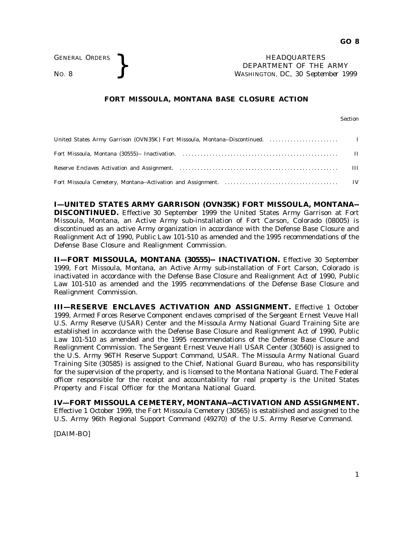GENERAL ORDERS **REAL ORDERS** HEADQUARTERS **NO. 8** HEADQUARTERS **DEPARTMENT** OF THE WASHINGTON, DC, 30 Septem DEPARTMENT OF THE ARMY WASHINGTON, DC, *30 September 1999*

## **FORT MISSOULA, MONTANA BASE CLOSURE ACTION**

Section

**I—UNITED STATES ARMY GARRISON (OVN35K) FORT MISSOULA, MONTANA-- DISCONTINUED.** Effective 30 September 1999 the United States Army Garrison at Fort Missoula, Montana, an Active Army sub-installation of Fort Carson, Colorado (08005) is discontinued as an active Army organization in accordance with the Defense Base Closure and Realignment Act of 1990, Public Law 101-510 as amended and the 1995 recommendations of the Defense Base Closure and Realignment Commission.

**II—FORT MISSOULA, MONTANA (30555)-- INACTIVATION.** Effective 30 September 1999, Fort Missoula, Montana, an Active Army sub-installation of Fort Carson, Colorado is inactivated in accordance with the Defense Base Closure and Realignment Act of 1990, Public Law 101-510 as amended and the 1995 recommendations of the Defense Base Closure and Realignment Commission.

**III-RESERVE ENCLAVES ACTIVATION AND ASSIGNMENT.** Effective 1 October 1999, Armed Forces Reserve Component enclaves comprised of the Sergeant Ernest Veuve Hall U.S. Army Reserve (USAR) Center and the Missoula Army National Guard Training Site are established in accordance with the Defense Base Closure and Realignment Act of 1990, Public Law 101-510 as amended and the 1995 recommendations of the Defense Base Closure and Realignment Commission. The Sergeant Ernest Veuve Hall USAR Center (30560) is assigned to the U.S. Army 96TH Reserve Support Command, USAR. The Missoula Army National Guard Training Site (30585) is assigned to the Chief, National Guard Bureau, who has responsibility for the supervision of the property, and is licensed to the Montana National Guard. The Federal officer responsible for the receipt and accountability for real property is the United States Property and Fiscal Officer for the Montana National Guard.

**IV—FORT MISSOULA CEMETERY, MONTANA--ACTIVATION AND ASSIGNMENT.** Effective 1 October 1999, the Fort Missoula Cemetery (30565) is established and assigned to the U.S. Army 96th Regional Support Command (49270) of the U.S. Army Reserve Command.

[DAIM-BO]